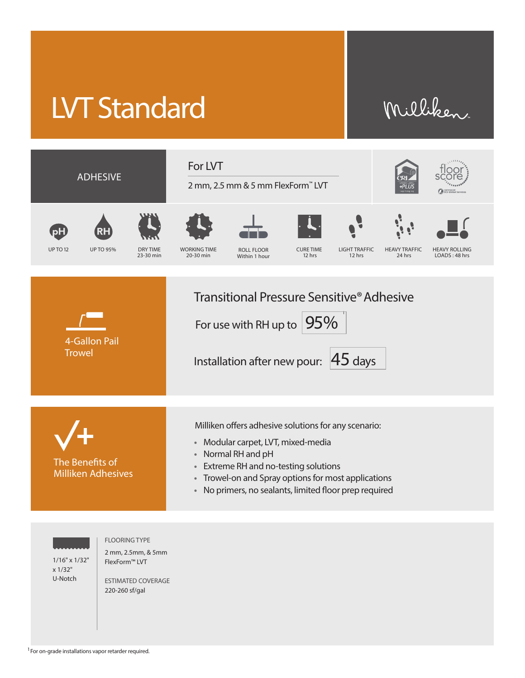## LVT Standard

## Milliken



1/16" x 1/32" x 1/32" U-Notch

FLOORING TYPE

2 mm, 2.5mm, & 5mm FlexForm™ LVT

ESTIMATED COVERAGE 220-260 sf/gal